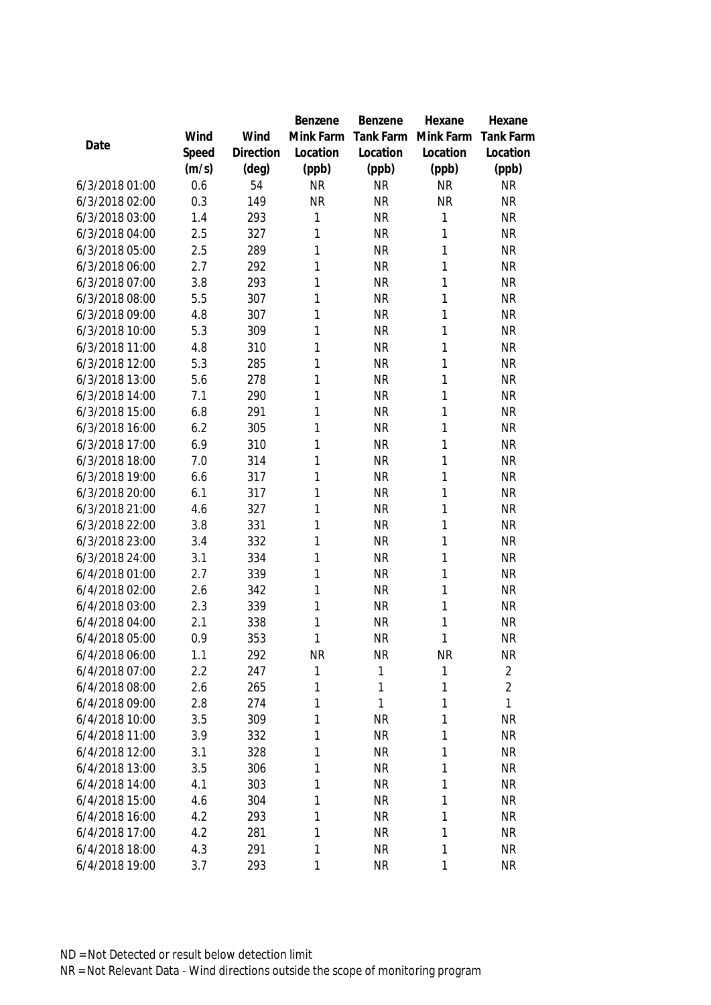|                |       |           | Benzene   | Benzene   | Hexane       | Hexane           |
|----------------|-------|-----------|-----------|-----------|--------------|------------------|
|                | Wind  | Wind      | Mink Farm | Tank Farm | Mink Farm    | <b>Tank Farm</b> |
| Date           | Speed | Direction | Location  | Location  | Location     | Location         |
|                | (m/s) | (deg)     | (ppb)     | (ppb)     | (ppb)        | (ppb)            |
| 6/3/2018 01:00 | 0.6   | 54        | <b>NR</b> | <b>NR</b> | <b>NR</b>    | <b>NR</b>        |
| 6/3/2018 02:00 | 0.3   | 149       | <b>NR</b> | <b>NR</b> | <b>NR</b>    | <b>NR</b>        |
| 6/3/2018 03:00 | 1.4   | 293       | 1         | <b>NR</b> | 1            | <b>NR</b>        |
| 6/3/2018 04:00 | 2.5   | 327       | 1         | <b>NR</b> | 1            | <b>NR</b>        |
| 6/3/2018 05:00 | 2.5   | 289       | 1         | <b>NR</b> | 1            | <b>NR</b>        |
| 6/3/2018 06:00 | 2.7   | 292       | 1         | <b>NR</b> | 1            | <b>NR</b>        |
| 6/3/2018 07:00 | 3.8   | 293       | 1         | <b>NR</b> | 1            | <b>NR</b>        |
| 6/3/2018 08:00 | 5.5   | 307       | 1         | <b>NR</b> | 1            | <b>NR</b>        |
| 6/3/2018 09:00 | 4.8   | 307       | 1         | <b>NR</b> | 1            | <b>NR</b>        |
| 6/3/2018 10:00 | 5.3   | 309       | 1         | <b>NR</b> | 1            | <b>NR</b>        |
| 6/3/2018 11:00 | 4.8   | 310       | 1         | <b>NR</b> | 1            | <b>NR</b>        |
| 6/3/2018 12:00 | 5.3   | 285       | 1         | <b>NR</b> | 1            | <b>NR</b>        |
| 6/3/2018 13:00 | 5.6   | 278       | 1         | <b>NR</b> | 1            | <b>NR</b>        |
| 6/3/2018 14:00 | 7.1   | 290       | 1         | <b>NR</b> | 1            | <b>NR</b>        |
| 6/3/2018 15:00 | 6.8   | 291       | 1         | <b>NR</b> | 1            | <b>NR</b>        |
| 6/3/2018 16:00 | 6.2   | 305       | 1         | <b>NR</b> | 1            | <b>NR</b>        |
| 6/3/2018 17:00 | 6.9   | 310       | 1         | <b>NR</b> | 1            | <b>NR</b>        |
| 6/3/2018 18:00 | 7.0   | 314       | 1         | <b>NR</b> | 1            | <b>NR</b>        |
| 6/3/2018 19:00 | 6.6   | 317       | 1         | <b>NR</b> | 1            | <b>NR</b>        |
| 6/3/2018 20:00 | 6.1   | 317       | 1         | <b>NR</b> | 1            | <b>NR</b>        |
| 6/3/2018 21:00 | 4.6   | 327       | 1         | <b>NR</b> | 1            | <b>NR</b>        |
| 6/3/2018 22:00 | 3.8   | 331       | 1         | <b>NR</b> | 1            | <b>NR</b>        |
| 6/3/2018 23:00 | 3.4   | 332       | 1         | <b>NR</b> | 1            | <b>NR</b>        |
| 6/3/2018 24:00 | 3.1   | 334       | 1         | <b>NR</b> | 1            | <b>NR</b>        |
| 6/4/2018 01:00 | 2.7   | 339       | 1         | <b>NR</b> | 1            | <b>NR</b>        |
| 6/4/2018 02:00 | 2.6   | 342       | 1         | <b>NR</b> | $\mathbf{1}$ | <b>NR</b>        |
| 6/4/2018 03:00 | 2.3   | 339       | 1         | <b>NR</b> | 1            | <b>NR</b>        |
| 6/4/2018 04:00 | 2.1   | 338       | 1         | <b>NR</b> | 1            | <b>NR</b>        |
| 6/4/2018 05:00 | 0.9   | 353       | 1         | <b>NR</b> | 1            | <b>NR</b>        |
| 6/4/2018 06:00 | 1.1   | 292       | <b>NR</b> | <b>NR</b> | <b>NR</b>    | <b>NR</b>        |
| 6/4/2018 07:00 | 2.2   | 247       | 1         | 1         | 1            | $\overline{2}$   |
| 6/4/2018 08:00 | 2.6   | 265       | 1         | 1         | 1            | $\overline{2}$   |
| 6/4/2018 09:00 | 2.8   | 274       | 1         | 1         | 1            | 1                |
| 6/4/2018 10:00 | 3.5   | 309       | 1         | <b>NR</b> | 1            | <b>NR</b>        |
| 6/4/2018 11:00 | 3.9   | 332       | 1         | <b>NR</b> | 1            | <b>NR</b>        |
| 6/4/2018 12:00 | 3.1   | 328       | 1         | <b>NR</b> | 1            | <b>NR</b>        |
| 6/4/2018 13:00 | 3.5   | 306       | 1         | <b>NR</b> | $\mathbf{1}$ | <b>NR</b>        |
| 6/4/2018 14:00 | 4.1   | 303       | 1         | <b>NR</b> | 1            | <b>NR</b>        |
| 6/4/2018 15:00 | 4.6   | 304       | 1         | <b>NR</b> | 1            | <b>NR</b>        |
| 6/4/2018 16:00 | 4.2   | 293       | 1         | <b>NR</b> | 1            | <b>NR</b>        |
| 6/4/2018 17:00 | 4.2   | 281       | 1         | <b>NR</b> | 1            | <b>NR</b>        |
| 6/4/2018 18:00 | 4.3   | 291       | 1         | <b>NR</b> | 1            | <b>NR</b>        |
| 6/4/2018 19:00 | 3.7   | 293       | 1         | <b>NR</b> | 1            | <b>NR</b>        |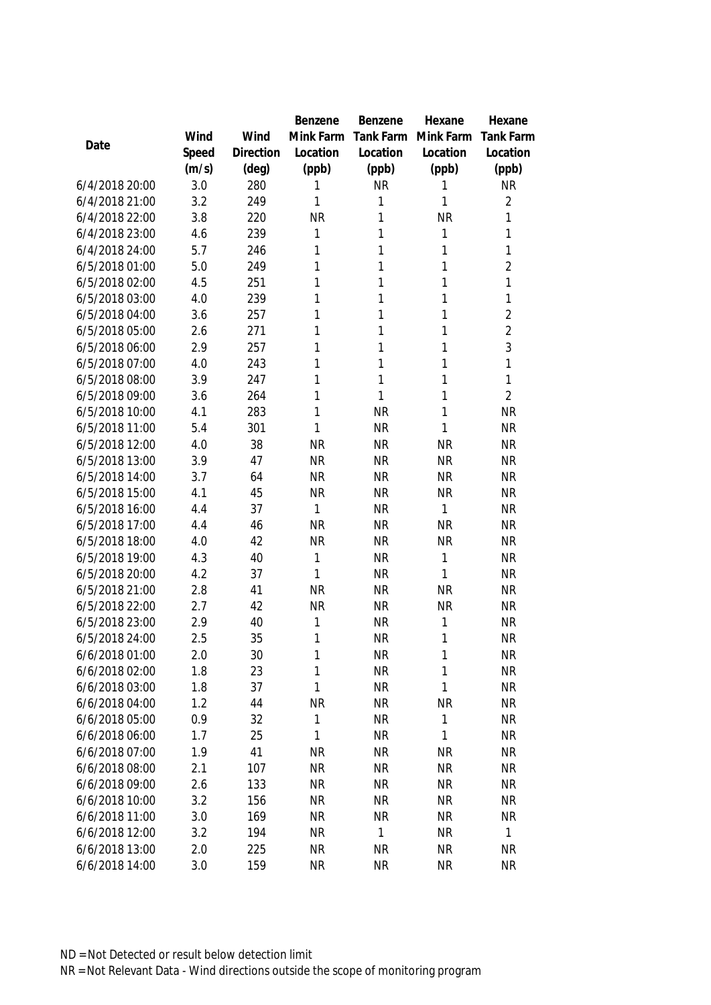|                                  |            |           | Benzene   | Benzene                | Hexane         | Hexane                 |
|----------------------------------|------------|-----------|-----------|------------------------|----------------|------------------------|
|                                  | Wind       | Wind      | Mink Farm | Tank Farm              | Mink Farm      | <b>Tank Farm</b>       |
| Date                             | Speed      | Direction | Location  | Location               | Location       | Location               |
|                                  | (m/s)      | (deg)     | (ppb)     | (ppb)                  | (ppb)          | (ppb)                  |
| 6/4/2018 20:00                   | 3.0        | 280       | 1         | <b>NR</b>              | 1              | <b>NR</b>              |
| 6/4/2018 21:00                   | 3.2        | 249       | 1         | 1                      | 1              | $\overline{2}$         |
| 6/4/2018 22:00                   | 3.8        | 220       | <b>NR</b> | 1                      | <b>NR</b>      | 1                      |
| 6/4/2018 23:00                   | 4.6        | 239       | 1         | $\mathbf{1}$           | 1              | 1                      |
| 6/4/2018 24:00                   | 5.7        | 246       | 1         | 1                      | 1              | 1                      |
| 6/5/2018 01:00                   | 5.0        | 249       | 1         | $\mathbf{1}$           | 1              | $\overline{2}$         |
| 6/5/2018 02:00                   | 4.5        | 251       | 1         | 1                      | 1              | 1                      |
| 6/5/2018 03:00                   | 4.0        | 239       | 1         | 1                      | $\mathbf{1}$   | 1                      |
| 6/5/2018 04:00                   | 3.6        | 257       | 1         | 1                      | 1              | $\overline{2}$         |
| 6/5/2018 05:00                   | 2.6        | 271       | 1         | 1                      | 1              | $\overline{2}$         |
| 6/5/2018 06:00                   | 2.9        | 257       | 1         | 1                      | 1              | 3                      |
| 6/5/2018 07:00                   | 4.0        | 243       | 1         | 1                      | 1              | 1                      |
| 6/5/2018 08:00                   | 3.9        | 247       | 1         | $\mathbf{1}$           | 1              | 1                      |
| 6/5/2018 09:00                   | 3.6        | 264       | 1         | 1                      | 1              | $\overline{2}$         |
| 6/5/2018 10:00                   | 4.1        | 283       | 1         | <b>NR</b>              | 1              | <b>NR</b>              |
| 6/5/2018 11:00                   | 5.4        | 301       | 1         | <b>NR</b>              | 1              | <b>NR</b>              |
| 6/5/2018 12:00                   | 4.0        | 38        | <b>NR</b> | <b>NR</b>              | <b>NR</b>      | <b>NR</b>              |
| 6/5/2018 13:00                   | 3.9        | 47        | <b>NR</b> | <b>NR</b>              | <b>NR</b>      | <b>NR</b>              |
| 6/5/2018 14:00                   | 3.7        | 64        | <b>NR</b> | <b>NR</b>              | <b>NR</b>      | <b>NR</b>              |
| 6/5/2018 15:00                   | 4.1        | 45        | <b>NR</b> | <b>NR</b>              | <b>NR</b>      | <b>NR</b>              |
| 6/5/2018 16:00                   | 4.4        | 37        | 1         | <b>NR</b>              | 1              | <b>NR</b>              |
| 6/5/2018 17:00                   | 4.4        | 46        | <b>NR</b> | <b>NR</b>              | <b>NR</b>      | <b>NR</b>              |
| 6/5/2018 18:00                   | 4.0        | 42        | <b>NR</b> | <b>NR</b>              | <b>NR</b>      | <b>NR</b>              |
| 6/5/2018 19:00                   | 4.3        | 40        | 1         | <b>NR</b>              | $\mathbf{1}$   | <b>NR</b>              |
| 6/5/2018 20:00                   | 4.2        | 37        | 1         | <b>NR</b>              | 1              | <b>NR</b>              |
| 6/5/2018 21:00<br>6/5/2018 22:00 | 2.8        | 41        | <b>NR</b> | <b>NR</b>              | <b>NR</b>      | <b>NR</b>              |
| 6/5/2018 23:00                   | 2.7        | 42        | <b>NR</b> | <b>NR</b><br><b>NR</b> | <b>NR</b><br>1 | <b>NR</b><br><b>NR</b> |
| 6/5/2018 24:00                   | 2.9<br>2.5 | 40<br>35  | 1<br>1    | <b>NR</b>              | $\mathbf{1}$   | <b>NR</b>              |
| 6/6/2018 01:00                   | 2.0        | 30        | 1         | <b>NR</b>              | 1              | <b>NR</b>              |
| 6/6/2018 02:00                   | 1.8        | 23        | 1         | <b>NR</b>              | 1              | <b>NR</b>              |
| 6/6/2018 03:00                   | 1.8        | 37        | 1         | <b>NR</b>              | 1              | <b>NR</b>              |
| 6/6/2018 04:00                   | 1.2        | 44        | <b>NR</b> | <b>NR</b>              | NR             | <b>NR</b>              |
| 6/6/2018 05:00                   | 0.9        | 32        | 1         | <b>NR</b>              | $\mathbf{1}$   | <b>NR</b>              |
| 6/6/2018 06:00                   | 1.7        | 25        | 1         | <b>NR</b>              | 1              | <b>NR</b>              |
| 6/6/2018 07:00                   | 1.9        | 41        | <b>NR</b> | <b>NR</b>              | <b>NR</b>      | <b>NR</b>              |
| 6/6/2018 08:00                   | 2.1        | 107       | <b>NR</b> | <b>NR</b>              | <b>NR</b>      | <b>NR</b>              |
| 6/6/2018 09:00                   | 2.6        | 133       | <b>NR</b> | <b>NR</b>              | <b>NR</b>      | <b>NR</b>              |
| 6/6/2018 10:00                   | 3.2        | 156       | <b>NR</b> | <b>NR</b>              | <b>NR</b>      | <b>NR</b>              |
| 6/6/2018 11:00                   | 3.0        | 169       | <b>NR</b> | <b>NR</b>              | <b>NR</b>      | <b>NR</b>              |
| 6/6/2018 12:00                   | 3.2        | 194       | <b>NR</b> | 1                      | <b>NR</b>      | 1                      |
| 6/6/2018 13:00                   | 2.0        | 225       | <b>NR</b> | <b>NR</b>              | <b>NR</b>      | <b>NR</b>              |
| 6/6/2018 14:00                   | 3.0        | 159       | <b>NR</b> | <b>NR</b>              | <b>NR</b>      | <b>NR</b>              |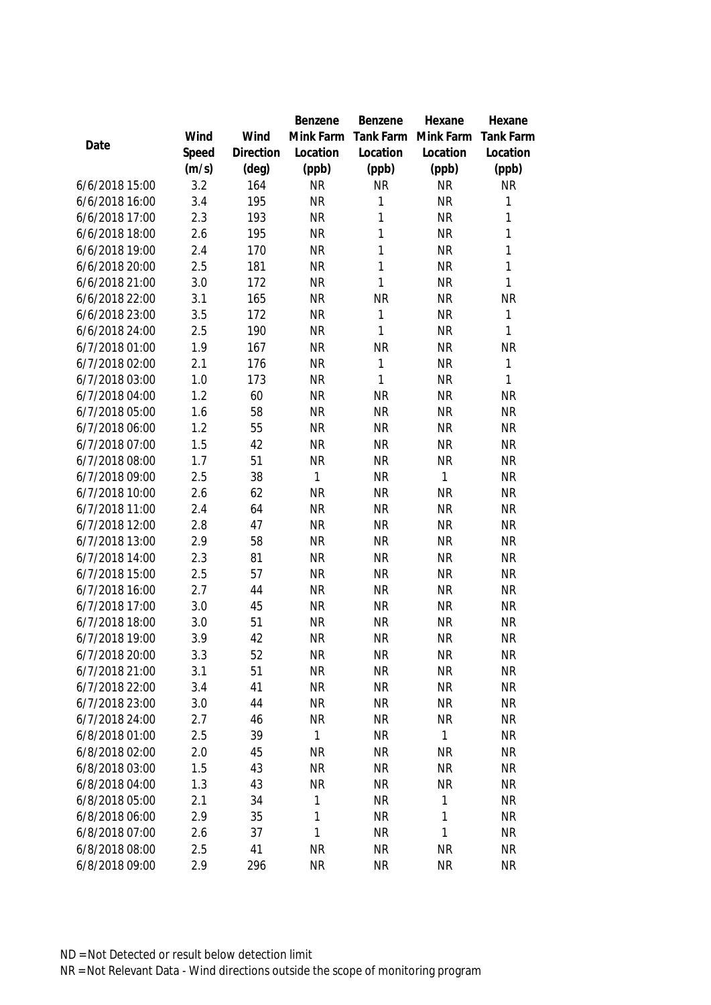|                |       |                | Benzene      | Benzene   | Hexane       | Hexane           |
|----------------|-------|----------------|--------------|-----------|--------------|------------------|
|                | Wind  | Wind           | Mink Farm    | Tank Farm | Mink Farm    | <b>Tank Farm</b> |
| Date           | Speed | Direction      | Location     | Location  | Location     | Location         |
|                | (m/s) | $(\text{deg})$ | (ppb)        | (ppb)     | (ppb)        | (ppb)            |
| 6/6/2018 15:00 | 3.2   | 164            | <b>NR</b>    | <b>NR</b> | <b>NR</b>    | <b>NR</b>        |
| 6/6/2018 16:00 | 3.4   | 195            | <b>NR</b>    | 1         | <b>NR</b>    | $\mathbf{1}$     |
| 6/6/2018 17:00 | 2.3   | 193            | <b>NR</b>    | 1         | <b>NR</b>    | $\mathbf{1}$     |
| 6/6/2018 18:00 | 2.6   | 195            | <b>NR</b>    | 1         | <b>NR</b>    | $\mathbf{1}$     |
| 6/6/2018 19:00 | 2.4   | 170            | <b>NR</b>    | 1         | <b>NR</b>    | $\mathbf{1}$     |
| 6/6/2018 20:00 | 2.5   | 181            | <b>NR</b>    | 1         | <b>NR</b>    | $\mathbf{1}$     |
| 6/6/2018 21:00 | 3.0   | 172            | <b>NR</b>    | 1         | <b>NR</b>    | $\mathbf{1}$     |
| 6/6/2018 22:00 | 3.1   | 165            | <b>NR</b>    | <b>NR</b> | <b>NR</b>    | <b>NR</b>        |
| 6/6/2018 23:00 | 3.5   | 172            | <b>NR</b>    | 1         | <b>NR</b>    | $\mathbf{1}$     |
| 6/6/2018 24:00 | 2.5   | 190            | <b>NR</b>    | 1         | <b>NR</b>    | 1                |
| 6/7/2018 01:00 | 1.9   | 167            | <b>NR</b>    | <b>NR</b> | <b>NR</b>    | <b>NR</b>        |
| 6/7/2018 02:00 | 2.1   | 176            | <b>NR</b>    | 1         | <b>NR</b>    | $\mathbf{1}$     |
| 6/7/2018 03:00 | 1.0   | 173            | <b>NR</b>    | 1         | <b>NR</b>    | 1                |
| 6/7/2018 04:00 | 1.2   | 60             | <b>NR</b>    | <b>NR</b> | <b>NR</b>    | <b>NR</b>        |
| 6/7/2018 05:00 | 1.6   | 58             | <b>NR</b>    | <b>NR</b> | <b>NR</b>    | <b>NR</b>        |
| 6/7/2018 06:00 | 1.2   | 55             | <b>NR</b>    | <b>NR</b> | <b>NR</b>    | <b>NR</b>        |
| 6/7/2018 07:00 | 1.5   | 42             | <b>NR</b>    | <b>NR</b> | <b>NR</b>    | <b>NR</b>        |
| 6/7/2018 08:00 | 1.7   | 51             | <b>NR</b>    | <b>NR</b> | <b>NR</b>    | <b>NR</b>        |
| 6/7/2018 09:00 | 2.5   | 38             | $\mathbf{1}$ | <b>NR</b> | $\mathbf{1}$ | <b>NR</b>        |
| 6/7/2018 10:00 | 2.6   | 62             | <b>NR</b>    | <b>NR</b> | <b>NR</b>    | <b>NR</b>        |
| 6/7/2018 11:00 | 2.4   | 64             | <b>NR</b>    | <b>NR</b> | <b>NR</b>    | <b>NR</b>        |
| 6/7/2018 12:00 | 2.8   | 47             | <b>NR</b>    | <b>NR</b> | <b>NR</b>    | <b>NR</b>        |
| 6/7/2018 13:00 | 2.9   | 58             | <b>NR</b>    | <b>NR</b> | <b>NR</b>    | <b>NR</b>        |
| 6/7/2018 14:00 | 2.3   | 81             | <b>NR</b>    | <b>NR</b> | <b>NR</b>    | <b>NR</b>        |
| 6/7/2018 15:00 | 2.5   | 57             | <b>NR</b>    | <b>NR</b> | <b>NR</b>    | <b>NR</b>        |
| 6/7/2018 16:00 | 2.7   | 44             | <b>NR</b>    | <b>NR</b> | <b>NR</b>    | <b>NR</b>        |
| 6/7/2018 17:00 | 3.0   | 45             | <b>NR</b>    | <b>NR</b> | <b>NR</b>    | NR               |
| 6/7/2018 18:00 | 3.0   | 51             | <b>NR</b>    | <b>NR</b> | <b>NR</b>    | <b>NR</b>        |
| 6/7/2018 19:00 | 3.9   | 42             | <b>NR</b>    | <b>NR</b> | <b>NR</b>    | <b>NR</b>        |
| 6/7/2018 20:00 | 3.3   | 52             | <b>NR</b>    | <b>NR</b> | <b>NR</b>    | <b>NR</b>        |
| 6/7/2018 21:00 | 3.1   | 51             | <b>NR</b>    | <b>NR</b> | <b>NR</b>    | <b>NR</b>        |
| 6/7/2018 22:00 | 3.4   | 41             | <b>NR</b>    | <b>NR</b> | <b>NR</b>    | <b>NR</b>        |
| 6/7/2018 23:00 | 3.0   | 44             | <b>NR</b>    | <b>NR</b> | <b>NR</b>    | <b>NR</b>        |
| 6/7/2018 24:00 | 2.7   | 46             | <b>NR</b>    | <b>NR</b> | <b>NR</b>    | <b>NR</b>        |
| 6/8/2018 01:00 | 2.5   | 39             | 1            | <b>NR</b> | 1            | <b>NR</b>        |
| 6/8/2018 02:00 | 2.0   | 45             | <b>NR</b>    | <b>NR</b> | <b>NR</b>    | <b>NR</b>        |
| 6/8/2018 03:00 | 1.5   | 43             | <b>NR</b>    | <b>NR</b> | <b>NR</b>    | <b>NR</b>        |
| 6/8/2018 04:00 | 1.3   | 43             | <b>NR</b>    | <b>NR</b> | <b>NR</b>    | <b>NR</b>        |
| 6/8/2018 05:00 | 2.1   | 34             | 1            | <b>NR</b> | $\mathbf{1}$ | <b>NR</b>        |
| 6/8/2018 06:00 | 2.9   | 35             | $\mathbf{1}$ | <b>NR</b> | $\mathbf{1}$ | <b>NR</b>        |
| 6/8/2018 07:00 | 2.6   | 37             | $\mathbf{1}$ | <b>NR</b> | $\mathbf{1}$ | <b>NR</b>        |
| 6/8/2018 08:00 | 2.5   | 41             | <b>NR</b>    | <b>NR</b> | <b>NR</b>    | <b>NR</b>        |
| 6/8/2018 09:00 | 2.9   | 296            | <b>NR</b>    | <b>NR</b> | <b>NR</b>    | <b>NR</b>        |